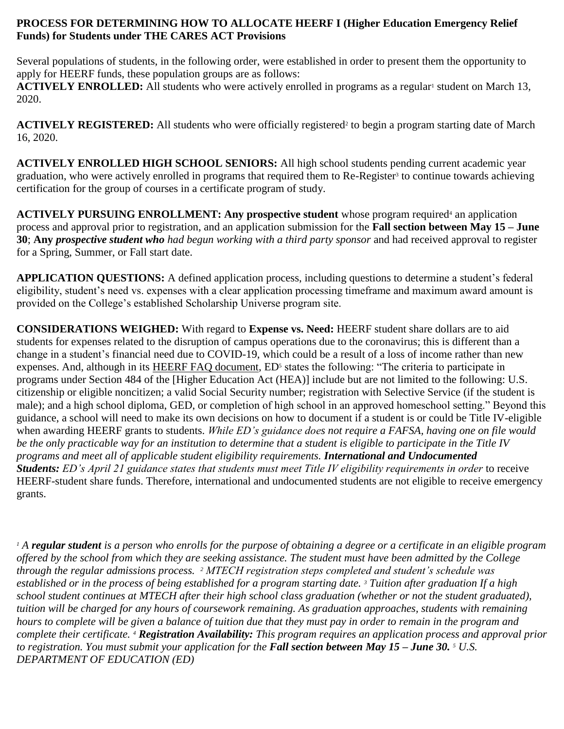### **PROCESS FOR DETERMINING HOW TO ALLOCATE HEERF I (Higher Education Emergency Relief Funds) for Students under THE CARES ACT Provisions**

Several populations of students, in the following order, were established in order to present them the opportunity to apply for HEERF funds, these population groups are as follows:

**ACTIVELY ENROLLED:** All students who were actively enrolled in programs as a regular<sup>1</sup> student on March 13, 2020.

ACTIVELY REGISTERED: All students who were officially registered<sup>2</sup> to begin a program starting date of March 16, 2020.

**ACTIVELY ENROLLED HIGH SCHOOL SENIORS:** All high school students pending current academic year graduation, who were actively enrolled in programs that required them to Re-Register<sup>3</sup> to continue towards achieving certification for the group of courses in a certificate program of study.

**ACTIVELY PURSUING ENROLLMENT: Any prospective student** whose program required<sup>4</sup> an application process and approval prior to registration, and an application submission for the **Fall section between May 15 – June 30**; **Any** *prospective student who had begun working with a third party sponsor* and had received approval to register for a Spring, Summer, or Fall start date.

**APPLICATION QUESTIONS:** A defined application process, including questions to determine a student's federal eligibility, student's need vs. expenses with a clear application processing timeframe and maximum award amount is provided on the College's established Scholarship Universe program site.

**CONSIDERATIONS WEIGHED:** With regard to **Expense vs. Need:** HEERF student share dollars are to aid students for expenses related to the disruption of campus operations due to the coronavirus; this is different than a change in a student's financial need due to COVID-19, which could be a result of a loss of income rather than new expenses. And, although in its [HEERF FAQ document,](https://www2.ed.gov/about/offices/list/ope/heerfstudentfaqs.pdf) ED<sup>5</sup> states the following: "The criteria to participate in programs under Section 484 of the [Higher Education Act (HEA)] include but are not limited to the following: U.S. citizenship or eligible noncitizen; a valid Social Security number; registration with Selective Service (if the student is male); and a high school diploma, GED, or completion of high school in an approved homeschool setting." Beyond this guidance, a school will need to make its own decisions on how to document if a student is or could be Title IV-eligible when awarding HEERF grants to students. *While ED's guidance does not require a FAFSA, having one on file would be the only practicable way for an institution to determine that a student is eligible to participate in the Title IV programs and meet all of applicable student eligibility requirements. International and Undocumented Students: ED's April 21 guidance states that students must meet Title IV eligibility requirements in order* to receive HEERF-student share funds. Therefore, international and undocumented students are not eligible to receive emergency grants.

*<sup>1</sup> A regular student is a person who enrolls for the purpose of obtaining a degree or a certificate in an eligible program offered by the school from which they are seeking assistance. The student must have been admitted by the College through the regular admissions process. <sup>2</sup> MTECH registration steps completed and student's schedule was established or in the process of being established for a program starting date. <sup>3</sup> Tuition after graduation If a high school student continues at MTECH after their high school class graduation (whether or not the student graduated), tuition will be charged for any hours of coursework remaining. As graduation approaches, students with remaining hours to complete will be given a balance of tuition due that they must pay in order to remain in the program and complete their certificate. <sup>4</sup> Registration Availability: This program requires an application process and approval prior to registration. You must submit your application for the Fall section between May 15 – June 30. <sup>5</sup> U.S. DEPARTMENT OF EDUCATION (ED)*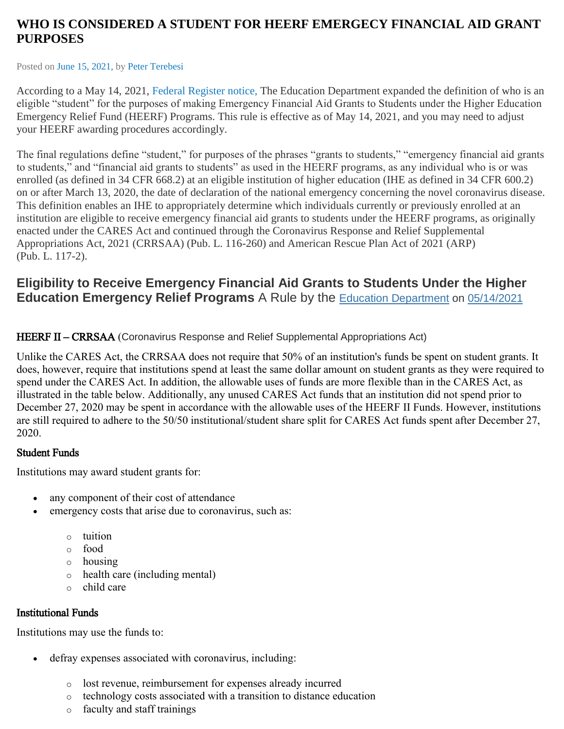# **WHO IS CONSIDERED A STUDENT FOR HEERF EMERGECY FINANCIAL AID GRANT PURPOSES**

Posted on June 15, [2021,](https://www.higheredexecutives.com/who-is-considered-a-student-for-heerf-emergecy-financial-aid-grant-purposes/) by Peter [Terebesi](https://www.higheredexecutives.com/author/petert/)

According to a May 14, 2021, Federal [Register](https://www.federalregister.gov/documents/2021/05/14/2021-10190/eligibility-to-receive-emergency-financial-aid-grants-to-students-under-the-higher-education) notice, The Education Department expanded the definition of who is an eligible "student" for the purposes of making Emergency Financial Aid Grants to Students under the Higher Education Emergency Relief Fund (HEERF) Programs. This rule is effective as of May 14, 2021, and you may need to adjust your HEERF awarding procedures accordingly.

The final regulations define "student," for purposes of the phrases "grants to students," "emergency financial aid grants to students," and "financial aid grants to students" as used in the HEERF programs, as any individual who is or was enrolled (as defined in 34 CFR 668.2) at an eligible institution of higher education (IHE as defined in 34 CFR 600.2) on or after March 13, 2020, the date of declaration of the national emergency concerning the novel coronavirus disease. This definition enables an IHE to appropriately determine which individuals currently or previously enrolled at an institution are eligible to receive emergency financial aid grants to students under the HEERF programs, as originally enacted under the CARES Act and continued through the Coronavirus Response and Relief Supplemental Appropriations Act, 2021 (CRRSAA) (Pub. L. 116-260) and American Rescue Plan Act of 2021 (ARP) (Pub. L. 117-2).

# **Eligibility to Receive Emergency Financial Aid Grants to Students Under the Higher Education Emergency Relief Programs** A Rule by the **Education [Department](https://www.federalregister.gov/agencies/education-department) on [05/14/2021](https://www.federalregister.gov/documents/2021/05/14)**

HEERF II – CRRSAA (Coronavirus Response and Relief Supplemental Appropriations Act)

Unlike the CARES Act, the CRRSAA does not require that 50% of an institution's funds be spent on student grants. It does, however, require that institutions spend at least the same dollar amount on student grants as they were required to spend under the CARES Act. In addition, the allowable uses of funds are more flexible than in the CARES Act, as illustrated in the table below. Additionally, any unused CARES Act funds that an institution did not spend prior to December 27, 2020 may be spent in accordance with the allowable uses of the HEERF II Funds. However, institutions are still required to adhere to the 50/50 institutional/student share split for CARES Act funds spent after December 27, 2020.

# Student Funds

Institutions may award student grants for:

- any component of their cost of attendance
- emergency costs that arise due to coronavirus, such as:
	- o tuition
	- o food
	- o housing
	- o health care (including mental)
	- o child care

# Institutional Funds

Institutions may use the funds to:

- defray expenses associated with coronavirus, including:
	- o lost revenue, reimbursement for expenses already incurred
	- o technology costs associated with a transition to distance education
	- o faculty and staff trainings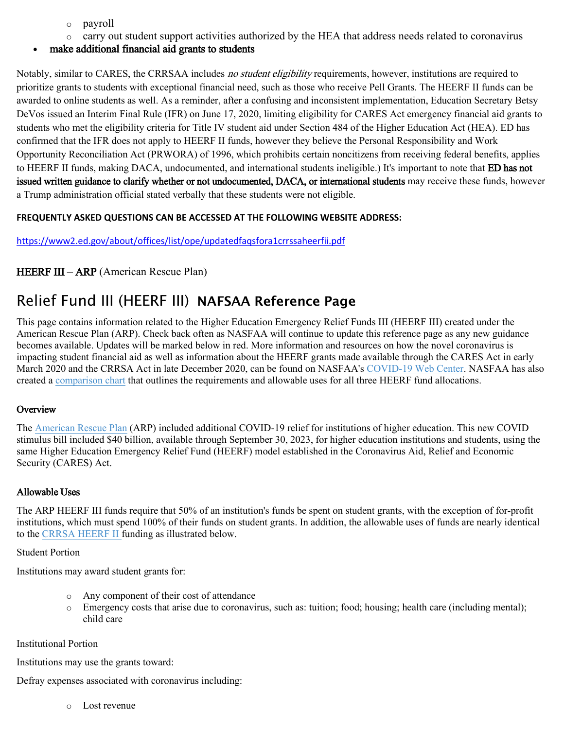- o payroll
- o carry out student support activities authorized by the HEA that address needs related to coronavirus
- make additional financial aid grants to students

Notably, similar to CARES, the CRRSAA includes *no student eligibility* requirements, however, institutions are required to prioritize grants to students with exceptional financial need, such as those who receive Pell Grants. The HEERF II funds can be awarded to online students as well. As a reminder, after a confusing and inconsistent implementation, Education Secretary Betsy DeVos issued an Interim Final Rule (IFR) on June 17, 2020, limiting eligibility for CARES Act emergency financial aid grants to students who met the eligibility criteria for Title IV student aid under Section 484 of the Higher Education Act (HEA). ED has confirmed that the IFR does not apply to HEERF II funds, however they believe the Personal Responsibility and Work Opportunity Reconciliation Act (PRWORA) of 1996, which prohibits certain noncitizens from receiving federal benefits, applies to HEERF II funds, making DACA, undocumented, and international students ineligible.) It's important to note that **ED has not** issued written guidance to clarify whether or not undocumented, DACA, or international students may receive these funds, however a Trump administration official stated verbally that these students were not eligible.

#### **FREQUENTLY ASKED QUESTIONS CAN BE ACCESSED AT THE FOLLOWING WEBSITE ADDRESS:**

<https://www2.ed.gov/about/offices/list/ope/updatedfaqsfora1crrssaheerfii.pdf>

## HEERF III – ARP (American Rescue Plan)

# Relief Fund III (HEERF III) **NAFSAA Reference Page**

This page contains information related to the Higher Education Emergency Relief Funds III (HEERF III) created under the American Rescue Plan (ARP). Check back often as NASFAA will continue to update this reference page as any new guidance becomes available. Updates will be marked below in red. More information and resources on how the novel coronavirus is impacting student financial aid as well as information about the HEERF grants made available through the CARES Act in early March 2020 and the CRRSA Act in late December 2020, can be found on NASFAA's [COVID-19 Web Center.](https://www.nasfaa.org/covid19) NASFAA has also created a [comparison chart](https://www.nasfaa.org/uploads/documents/HEERF_Funds_Comparison_Chart.pdf) that outlines the requirements and allowable uses for all three HEERF fund allocations.

#### **Overview**

The [American Rescue Plan](https://www.congress.gov/bill/117th-congress/house-bill/1319/text) (ARP) included additional COVID-19 relief for institutions of higher education. This new COVID stimulus bill included \$40 billion, available through September 30, 2023, for higher education institutions and students, using the same Higher Education Emergency Relief Fund (HEERF) model established in the Coronavirus Aid, Relief and Economic Security (CARES) Act.

#### Allowable Uses

The ARP HEERF III funds require that 50% of an institution's funds be spent on student grants, with the exception of for-profit institutions, which must spend 100% of their funds on student grants. In addition, the allowable uses of funds are nearly identical to the [CRRSA HEERF II](https://www.nasfaa.org/heerf_ii) funding as illustrated below.

#### Student Portion

Institutions may award student grants for:

- o Any component of their cost of attendance
- o Emergency costs that arise due to coronavirus, such as: tuition; food; housing; health care (including mental); child care

#### Institutional Portion

Institutions may use the grants toward:

Defray expenses associated with coronavirus including:

o Lost revenue